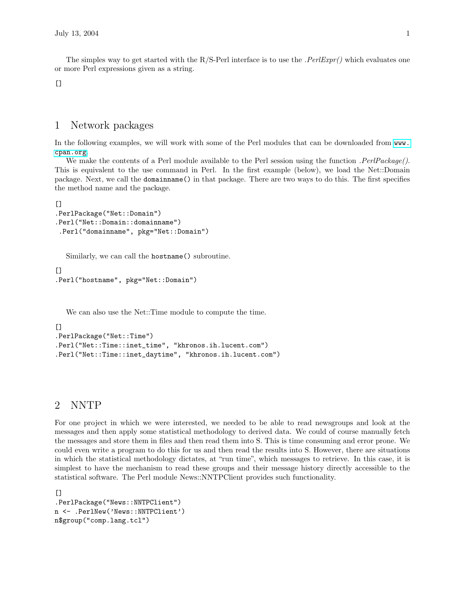The simples way to get started with the R/S-Perl interface is to use the *.PerlExpr()* which evaluates one or more Perl expressions given as a string.

 $[$ 

#### 1 Network packages

In the following examples, we will work with some of the Perl modules that can be downloaded from  $ww$ . [cpan.org](www.cpan.org).

We make the contents of a Perl module available to the Perl session using the function . PerlPackage(). This is equivalent to the use command in Perl. In the first example (below), we load the Net::Domain package. Next, we call the domainname() in that package. There are two ways to do this. The first specifies the method name and the package.

```
[.PerlPackage("Net::Domain")
.Perl("Net::Domain::domainname")
.Perl("domainname", pkg="Net::Domain")
```
Similarly, we can call the hostname() subroutine.

```
\lceil]
.Perl("hostname", pkg="Net::Domain")
```
We can also use the Net::Time module to compute the time.

```
\lceil]
.PerlPackage("Net::Time")
.Perl("Net::Time::inet_time", "khronos.ih.lucent.com")
.Perl("Net::Time::inet_daytime", "khronos.ih.lucent.com")
```
## 2 NNTP

For one project in which we were interested, we needed to be able to read newsgroups and look at the messages and then apply some statistical methodology to derived data. We could of course manually fetch the messages and store them in files and then read them into S. This is time consuming and error prone. We could even write a program to do this for us and then read the results into S. However, there are situations in which the statistical methodology dictates, at "run time", which messages to retrieve. In this case, it is simplest to have the mechanism to read these groups and their message history directly accessible to the statistical software. The Perl module News::NNTPClient provides such functionality.

[] .PerlPackage("News::NNTPClient") n <- .PerlNew('News::NNTPClient') n\$group("comp.lang.tcl")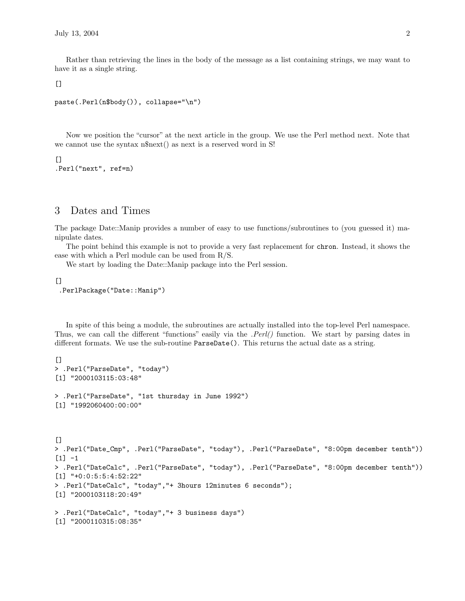Rather than retrieving the lines in the body of the message as a list containing strings, we may want to have it as a single string.

 $[$ 

```
paste(.Perl(n$body()), collapse="\n")
```
Now we position the "cursor" at the next article in the group. We use the Perl method next. Note that we cannot use the syntax n\$next() as next is a reserved word in S!

```
[]
.Perl("next", ref=n)
```
# 3 Dates and Times

The package Date::Manip provides a number of easy to use functions/subroutines to (you guessed it) manipulate dates.

The point behind this example is not to provide a very fast replacement for chron. Instead, it shows the ease with which a Perl module can be used from R/S.

We start by loading the Date::Manip package into the Perl session.

 $\Gamma$ ] .PerlPackage("Date::Manip")

In spite of this being a module, the subroutines are actually installed into the top-level Perl namespace. Thus, we can call the different "functions" easily via the .*Perl()* function. We start by parsing dates in different formats. We use the sub-routine ParseDate(). This returns the actual date as a string.

```
\Box> .Perl("ParseDate", "today")
[1] "2000103115:03:48"
> .Perl("ParseDate", "1st thursday in June 1992")
[1] "1992060400:00:00"
[> .Perl("Date_Cmp", .Perl("ParseDate", "today"), .Perl("ParseDate", "8:00pm december tenth"))
[1] -1> .Perl("DateCalc", .Perl("ParseDate", "today"), .Perl("ParseDate", "8:00pm december tenth"))
[1] "+0:0:5:5:4:52:22"
> .Perl("DateCalc", "today","+ 3hours 12minutes 6 seconds");
[1] "2000103118:20:49"
> .Perl("DateCalc", "today","+ 3 business days")
[1] "2000110315:08:35"
```